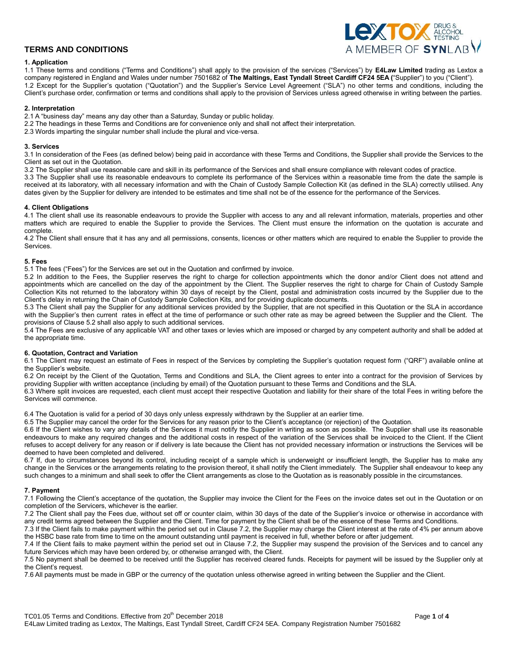

## **1. Application**

1.1 These terms and conditions ("Terms and Conditions") shall apply to the provision of the services ("Services") by **E4Law Limited** trading as Lextox a company registered in England and Wales under number 7501682 of **The Maltings, East Tyndall Street Cardiff CF24 5EA (**"Supplier") to you ("Client"). 1.2 Except for the Supplier's quotation ("Quotation") and the Supplier's Service Level Agreement ("SLA") no other terms and conditions, including the Client's purchase order, confirmation or terms and conditions shall apply to the provision of Services unless agreed otherwise in writing between the parties.

## **2. Interpretation**

2.1 A "business day" means any day other than a Saturday, Sunday or public holiday.

2.2 The headings in these Terms and Conditions are for convenience only and shall not affect their interpretation.

2.3 Words imparting the singular number shall include the plural and vice-versa.

#### **3. Services**

3.1 In consideration of the Fees (as defined below) being paid in accordance with these Terms and Conditions, the Supplier shall provide the Services to the Client as set out in the Quotation.

3.2 The Supplier shall use reasonable care and skill in its performance of the Services and shall ensure compliance with relevant codes of practice.

3.3 The Supplier shall use its reasonable endeavours to complete its performance of the Services within a reasonable time from the date the sample is received at its laboratory, with all necessary information and with the Chain of Custody Sample Collection Kit (as defined in the SLA) correctly utilised. Any dates given by the Supplier for delivery are intended to be estimates and time shall not be of the essence for the performance of the Services.

## **4. Client Obligations**

4.1 The client shall use its reasonable endeavours to provide the Supplier with access to any and all relevant information, materials, properties and other matters which are required to enable the Supplier to provide the Services. The Client must ensure the information on the quotation is accurate and complete.

4.2 The Client shall ensure that it has any and all permissions, consents, licences or other matters which are required to enable the Supplier to provide the Services.

## **5. Fees**

5.1 The fees ("Fees") for the Services are set out in the Quotation and confirmed by invoice.

5.2 In addition to the Fees, the Supplier reserves the right to charge for collection appointments which the donor and/or Client does not attend and appointments which are cancelled on the day of the appointment by the Client. The Supplier reserves the right to charge for Chain of Custody Sample Collection Kits not returned to the laboratory within 30 days of receipt by the Client, postal and administration costs incurred by the Supplier due to the Client's delay in returning the Chain of Custody Sample Collection Kits, and for providing duplicate documents.

5.3 The Client shall pay the Supplier for any additional services provided by the Supplier, that are not specified in this Quotation or the SLA in accordance with the Supplier's then current rates in effect at the time of performance or such other rate as may be agreed between the Supplier and the Client. The provisions of Clause 5.2 shall also apply to such additional services.

5.4 The Fees are exclusive of any applicable VAT and other taxes or levies which are imposed or charged by any competent authority and shall be added at the appropriate time.

#### **6. Quotation, Contract and Variation**

6.1 The Client may request an estimate of Fees in respect of the Services by completing the Supplier's quotation request form ("QRF") available online at the Supplier's website.

6.2 On receipt by the Client of the Quotation, Terms and Conditions and SLA, the Client agrees to enter into a contract for the provision of Services by providing Supplier with written acceptance (including by email) of the Quotation pursuant to these Terms and Conditions and the SLA.

6.3 Where split invoices are requested, each client must accept their respective Quotation and liability for their share of the total Fees in writing before the Services will commence.

6.4 The Quotation is valid for a period of 30 days only unless expressly withdrawn by the Supplier at an earlier time.

6.5 The Supplier may cancel the order for the Services for any reason prior to the Client's acceptance (or rejection) of the Quotation.

6.6 If the Client wishes to vary any details of the Services it must notify the Supplier in writing as soon as possible. The Supplier shall use its reasonable endeavours to make any required changes and the additional costs in respect of the variation of the Services shall be invoiced to the Client. If the Client refuses to accept delivery for any reason or if delivery is late because the Client has not provided necessary information or instructions the Services will be deemed to have been completed and delivered.

6.7 If, due to circumstances beyond its control, including receipt of a sample which is underweight or insufficient length, the Supplier has to make any change in the Services or the arrangements relating to the provision thereof, it shall notify the Client immediately. The Supplier shall endeavour to keep any such changes to a minimum and shall seek to offer the Client arrangements as close to the Quotation as is reasonably possible in the circumstances.

## **7. Payment**

7.1 Following the Client's acceptance of the quotation, the Supplier may invoice the Client for the Fees on the invoice dates set out in the Quotation or on completion of the Servicers, whichever is the earlier.

7.2 The Client shall pay the Fees due, without set off or counter claim, within 30 days of the date of the Supplier's invoice or otherwise in accordance with any credit terms agreed between the Supplier and the Client. Time for payment by the Client shall be of the essence of these Terms and Conditions.

7.3 If the Client fails to make payment within the period set out in Clause 7.2, the Supplier may charge the Client interest at the rate of 4% per annum above the HSBC base rate from time to time on the amount outstanding until payment is received in full, whether before or after judgement.

7.4 If the Client fails to make payment within the period set out in Clause 7.2, the Supplier may suspend the provision of the Services and to cancel any future Services which may have been ordered by, or otherwise arranged with, the Client.

7.5 No payment shall be deemed to be received until the Supplier has received cleared funds. Receipts for payment will be issued by the Supplier only at the Client's request.

7.6 All payments must be made in GBP or the currency of the quotation unless otherwise agreed in writing between the Supplier and the Client.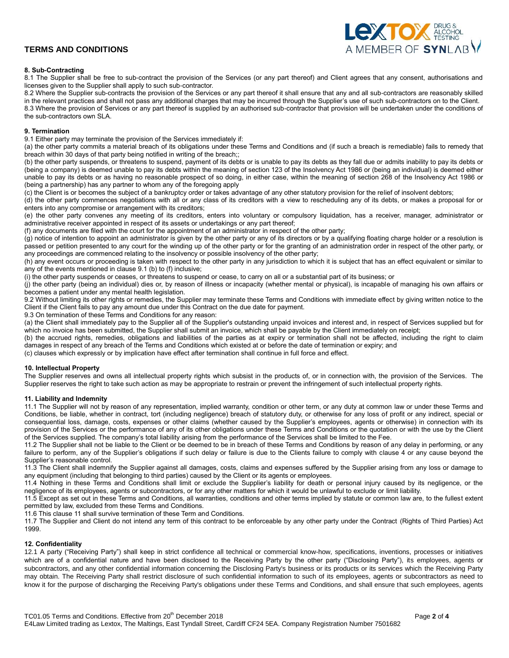

## **8. Sub-Contracting**

8.1 The Supplier shall be free to sub-contract the provision of the Services (or any part thereof) and Client agrees that any consent, authorisations and licenses given to the Supplier shall apply to such sub-contractor.

8.2 Where the Supplier sub-contracts the provision of the Services or any part thereof it shall ensure that any and all sub-contractors are reasonably skilled in the relevant practices and shall not pass any additional charges that may be incurred through the Supplier's use of such sub-contractors on to the Client. 8.3 Where the provision of Services or any part thereof is supplied by an authorised sub-contractor that provision will be undertaken under the conditions of the sub-contractors own SLA.

## **9. Termination**

9.1 Either party may terminate the provision of the Services immediately if:

(a) the other party commits a material breach of its obligations under these Terms and Conditions and (if such a breach is remediable) fails to remedy that breach within 30 days of that party being notified in writing of the breach;;

(b) the other party suspends, or threatens to suspend, payment of its debts or is unable to pay its debts as they fall due or admits inability to pay its debts or (being a company) is deemed unable to pay its debts within the meaning of section 123 of the Insolvency Act 1986 or (being an individual) is deemed either unable to pay its debts or as having no reasonable prospect of so doing, in either case, within the meaning of section 268 of the Insolvency Act 1986 or (being a partnership) has any partner to whom any of the foregoing apply

(c) the Client is or becomes the subject of a bankruptcy order or takes advantage of any other statutory provision for the relief of insolvent debtors;

(d) the other party commences negotiations with all or any class of its creditors with a view to rescheduling any of its debts, or makes a proposal for or enters into any compromise or arrangement with its creditors;

(e) the other party convenes any meeting of its creditors, enters into voluntary or compulsory liquidation, has a receiver, manager, administrator or administrative receiver appointed in respect of its assets or undertakings or any part thereof;

(f) any documents are filed with the court for the appointment of an administrator in respect of the other party;

(g) notice of intention to appoint an administrator is given by the other party or any of its directors or by a qualifying floating charge holder or a resolution is passed or petition presented to any court for the winding up of the other party or for the granting of an administration order in respect of the other party, or any proceedings are commenced relating to the insolvency or possible insolvency of the other party;

(h) any event occurs or proceeding is taken with respect to the other party in any jurisdiction to which it is subject that has an effect equivalent or similar to any of the events mentioned in clause 9.1 (b) to (f) inclusive;

(i) the other party suspends or ceases, or threatens to suspend or cease, to carry on all or a substantial part of its business; or

(j) the other party (being an individual) dies or, by reason of illness or incapacity (whether mental or physical), is incapable of managing his own affairs or becomes a patient under any mental health legislation.

9.2 Without limiting its other rights or remedies, the Supplier may terminate these Terms and Conditions with immediate effect by giving written notice to the Client if the Client fails to pay any amount due under this Contract on the due date for payment.

9.3 On termination of these Terms and Conditions for any reason:

(a) the Client shall immediately pay to the Supplier all of the Supplier's outstanding unpaid invoices and interest and, in respect of Services supplied but for which no invoice has been submitted, the Supplier shall submit an invoice, which shall be payable by the Client immediately on receipt;

(b) the accrued rights, remedies, obligations and liabilities of the parties as at expiry or termination shall not be affected, including the right to claim damages in respect of any breach of the Terms and Conditions which existed at or before the date of termination or expiry; and

(c) clauses which expressly or by implication have effect after termination shall continue in full force and effect.

#### **10. Intellectual Property**

The Supplier reserves and owns all intellectual property rights which subsist in the products of, or in connection with, the provision of the Services. The Supplier reserves the right to take such action as may be appropriate to restrain or prevent the infringement of such intellectual property rights.

#### **11. Liability and Indemnity**

11.1 The Supplier will not by reason of any representation, implied warranty, condition or other term, or any duty at common law or under these Terms and Conditions, be liable, whether in contract, tort (including negligence) breach of statutory duty, or otherwise for any loss of profit or any indirect, special or consequential loss, damage, costs, expenses or other claims (whether caused by the Supplier's employees, agents or otherwise) in connection with its provision of the Services or the performance of any of its other obligations under these Terms and Conditions or the quotation or with the use by the Client of the Services supplied. The company's total liability arising from the performance of the Services shall be limited to the Fee.

11.2 The Supplier shall not be liable to the Client or be deemed to be in breach of these Terms and Conditions by reason of any delay in performing, or any failure to perform, any of the Supplier's obligations if such delay or failure is due to the Clients failure to comply with clause 4 or any cause beyond the Supplier's reasonable control.

11.3 The Client shall indemnify the Supplier against all damages, costs, claims and expenses suffered by the Supplier arising from any loss or damage to any equipment (including that belonging to third parties) caused by the Client or its agents or employees.

11.4 Nothing in these Terms and Conditions shall limit or exclude the Supplier's liability for death or personal injury caused by its negligence, or the negligence of its employees, agents or subcontractors, or for any other matters for which it would be unlawful to exclude or limit liability.

11.5 Except as set out in these Terms and Conditions, all warranties, conditions and other terms implied by statute or common law are, to the fullest extent permitted by law, excluded from these Terms and Conditions.

11.6 This clause 11 shall survive termination of these Term and Conditions.

11.7 The Supplier and Client do not intend any term of this contract to be enforceable by any other party under the Contract (Rights of Third Parties) Act 1999.

## **12. Confidentiality**

12.1 A party ("Receiving Party") shall keep in strict confidence all technical or commercial know-how, specifications, inventions, processes or initiatives which are of a confidential nature and have been disclosed to the Receiving Party by the other party ("Disclosing Party"), its employees, agents or subcontractors, and any other confidential information concerning the Disclosing Party's business or its products or its services which the Receiving Party may obtain. The Receiving Party shall restrict disclosure of such confidential information to such of its employees, agents or subcontractors as need to know it for the purpose of discharging the Receiving Party's obligations under these Terms and Conditions, and shall ensure that such employees, agents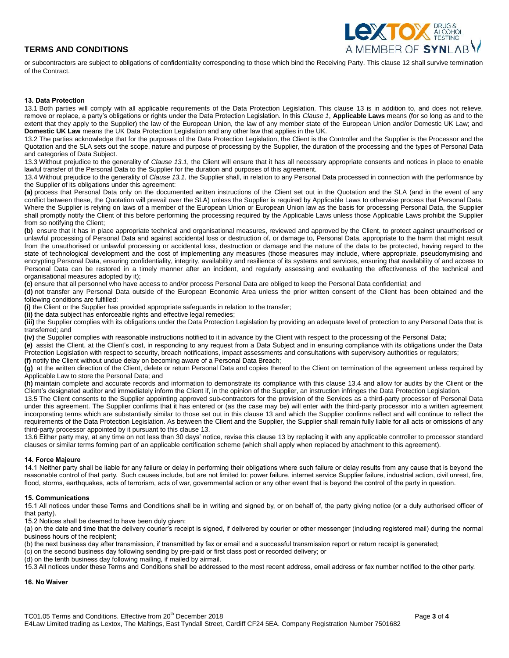

or subcontractors are subject to obligations of confidentiality corresponding to those which bind the Receiving Party. This clause 12 shall survive termination of the Contract.

#### **13. Data Protection**

13.1 Both parties will comply with all applicable requirements of the Data Protection Legislation. This clause 13 is in addition to, and does not relieve, remove or replace, a party's obligations or rights under the Data Protection Legislation. In this *Clause 1*, **Applicable Laws** means (for so long as and to the extent that they apply to the Supplier) the law of the European Union, the law of any member state of the European Union and/or Domestic UK Law; and **Domestic UK Law** means the UK Data Protection Legislation and any other law that applies in the UK.

13.2 The parties acknowledge that for the purposes of the Data Protection Legislation, the Client is the Controller and the Supplier is the Processor and the Quotation and the SLA sets out the scope, nature and purpose of processing by the Supplier, the duration of the processing and the types of Personal Data and categories of Data Subject.

13.3 Without prejudice to the generality of *Clause 13.1*, the Client will ensure that it has all necessary appropriate consents and notices in place to enable lawful transfer of the Personal Data to the Supplier for the duration and purposes of this agreement.

13.4 Without prejudice to the generality of *Clause 13.1*, the Supplier shall, in relation to any Personal Data processed in connection with the performance by the Supplier of its obligations under this agreement:

**(a)** process that Personal Data only on the documented written instructions of the Client set out in the Quotation and the SLA (and in the event of any conflict between these, the Quotation will prevail over the SLA) unless the Supplier is required by Applicable Laws to otherwise process that Personal Data. Where the Supplier is relying on laws of a member of the European Union or European Union law as the basis for processing Personal Data, the Supplier shall promptly notify the Client of this before performing the processing required by the Applicable Laws unless those Applicable Laws prohibit the Supplier from so notifying the Client;

**(b)** ensure that it has in place appropriate technical and organisational measures, reviewed and approved by the Client, to protect against unauthorised or unlawful processing of Personal Data and against accidental loss or destruction of, or damage to, Personal Data, appropriate to the harm that might result from the unauthorised or unlawful processing or accidental loss, destruction or damage and the nature of the data to be protected, having regard to the state of technological development and the cost of implementing any measures (those measures may include, where appropriate, pseudonymising and encrypting Personal Data, ensuring confidentiality, integrity, availability and resilience of its systems and services, ensuring that availability of and access to Personal Data can be restored in a timely manner after an incident, and regularly assessing and evaluating the effectiveness of the technical and organisational measures adopted by it);

**(c)** ensure that all personnel who have access to and/or process Personal Data are obliged to keep the Personal Data confidential; and

**(d)** not transfer any Personal Data outside of the European Economic Area unless the prior written consent of the Client has been obtained and the following conditions are fulfilled:

**(i)** the Client or the Supplier has provided appropriate safeguards in relation to the transfer;

**(ii)** the data subject has enforceable rights and effective legal remedies;

**(iii)** the Supplier complies with its obligations under the Data Protection Legislation by providing an adequate level of protection to any Personal Data that is transferred; and

**(iv)** the Supplier complies with reasonable instructions notified to it in advance by the Client with respect to the processing of the Personal Data;

**(e)** assist the Client, at the Client's cost, in responding to any request from a Data Subject and in ensuring compliance with its obligations under the Data Protection Legislation with respect to security, breach notifications, impact assessments and consultations with supervisory authorities or regulators; **(f)** notify the Client without undue delay on becoming aware of a Personal Data Breach;

**(g)** at the written direction of the Client, delete or return Personal Data and copies thereof to the Client on termination of the agreement unless required by Applicable Law to store the Personal Data; and

**(h)** maintain complete and accurate records and information to demonstrate its compliance with this clause 13.4 and allow for audits by the Client or the Client's designated auditor and immediately inform the Client if, in the opinion of the Supplier, an instruction infringes the Data Protection Legislation.

13.5 The Client consents to the Supplier appointing approved sub-contractors for the provision of the Services as a third-party processor of Personal Data under this agreement. The Supplier confirms that it has entered or (as the case may be) will enter with the third-party processor into a written agreement incorporating terms which are substantially similar to those set out in this clause 13 and which the Supplier confirms reflect and will continue to reflect the requirements of the Data Protection Legislation. As between the Client and the Supplier, the Supplier shall remain fully liable for all acts or omissions of any third-party processor appointed by it pursuant to this clause 13.

13.6 Either party may, at any time on not less than 30 days' notice, revise this clause 13 by replacing it with any applicable controller to processor standard clauses or similar terms forming part of an applicable certification scheme (which shall apply when replaced by attachment to this agreement).

#### **14. Force Majeure**

14.1 Neither party shall be liable for any failure or delay in performing their obligations where such failure or delay results from any cause that is beyond the reasonable control of that party. Such causes include, but are not limited to: power failure, internet service Supplier failure, industrial action, civil unrest, fire, flood, storms, earthquakes, acts of terrorism, acts of war, governmental action or any other event that is beyond the control of the party in question.

## **15. Communications**

15.1 All notices under these Terms and Conditions shall be in writing and signed by, or on behalf of, the party giving notice (or a duly authorised officer of that party).

15.2 Notices shall be deemed to have been duly given:

(a) on the date and time that the delivery courier's receipt is signed, if delivered by courier or other messenger (including registered mail) during the normal business hours of the recipient;

(b) the next business day after transmission, if transmitted by fax or email and a successful transmission report or return receipt is generated;

(c) on the second business day following sending by pre-paid or first class post or recorded delivery; or

(d) on the tenth business day following mailing, if mailed by airmail.

15.3 All notices under these Terms and Conditions shall be addressed to the most recent address, email address or fax number notified to the other party.

## **16. No Waiver**